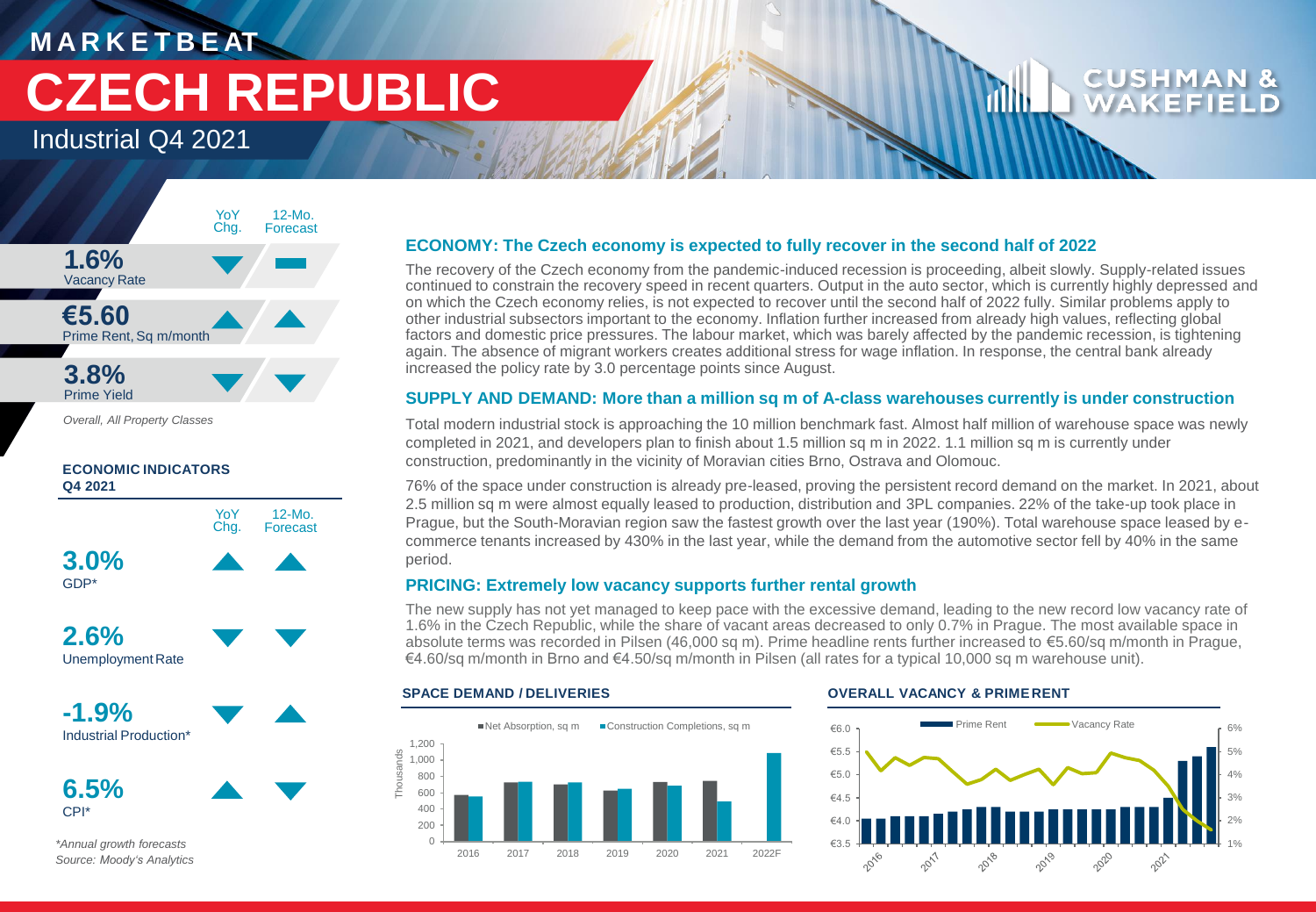# **M A R K E T B E AT CZECH REPUBLIC**

Industrial Q4 2021



*Overall, All Property Classes*

## **ECONOMIC INDICATORS Q4 2021**



CPI\*

*\*Annual growth forecasts Source: Moody's Analytics*

## **ECONOMY: The Czech economy is expected to fully recover in the second half of 2022**

The recovery of the Czech economy from the pandemic-induced recession is proceeding, albeit slowly. Supply-related issues continued to constrain the recovery speed in recent quarters. Output in the auto sector, which is currently highly depressed and on which the Czech economy relies, is not expected to recover until the second half of 2022 fully. Similar problems apply to other industrial subsectors important to the economy. Inflation further increased from already high values, reflecting global factors and domestic price pressures. The labour market, which was barely affected by the pandemic recession, is tightening again. The absence of migrant workers creates additional stress for wage inflation. In response, the central bank already increased the policy rate by 3.0 percentage points since August.

## **SUPPLY AND DEMAND: More than a million sq m of A-class warehouses currently is under construction**

Total modern industrial stock is approaching the 10 million benchmark fast. Almost half million of warehouse space was newly completed in 2021, and developers plan to finish about 1.5 million sq m in 2022. 1.1 million sq m is currently under construction, predominantly in the vicinity of Moravian cities Brno, Ostrava and Olomouc.

76% of the space under construction is already pre-leased, proving the persistent record demand on the market. In 2021, about 2.5 million sq m were almost equally leased to production, distribution and 3PL companies. 22% of the take-up took place in Prague, but the South-Moravian region saw the fastest growth over the last year (190%). Total warehouse space leased by ecommerce tenants increased by 430% in the last year, while the demand from the automotive sector fell by 40% in the same period.

## **PRICING: Extremely low vacancy supports further rental growth**

The new supply has not yet managed to keep pace with the excessive demand, leading to the new record low vacancy rate of 1.6% in the Czech Republic, while the share of vacant areas decreased to only 0.7% in Prague. The most available space in absolute terms was recorded in Pilsen (46,000 sq m). Prime headline rents further increased to €5.60/sq m/month in Prague, €4.60/sq m/month in Brno and €4.50/sq m/month in Pilsen (all rates for a typical 10,000 sq m warehouse unit).



## **SPACE DEMAND / DELIVERIES OVERALL VACANCY & PRIME RENT**